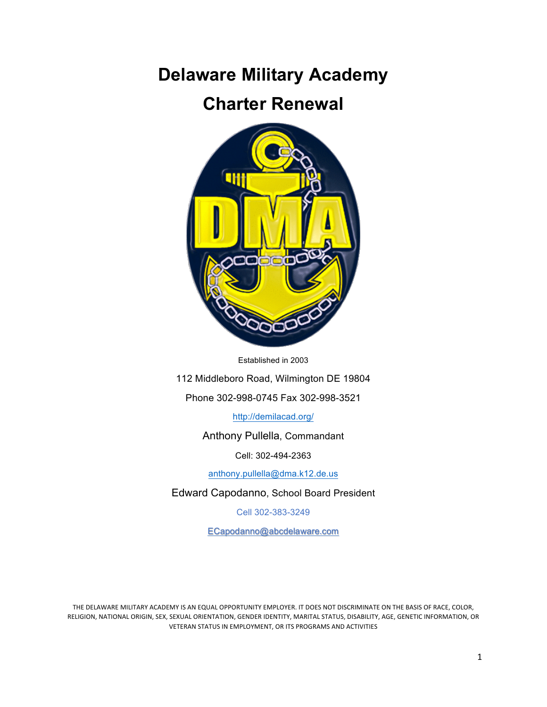# **Delaware Military Academy**

# **Charter Renewal**



Established in 2003

112 Middleboro Road, Wilmington DE 19804

Phone 302-998-0745 Fax 302-998-3521

http://demilacad.org/

Anthony Pullella, Commandant

Cell: 302-494-2363

anthony.pullella@dma.k12.de.us

Edward Capodanno, School Board President

Cell 302-383-3249

ECapodanno@abcdelaware.com

THE DELAWARE MILITARY ACADEMY IS AN EQUAL OPPORTUNITY EMPLOYER. IT DOES NOT DISCRIMINATE ON THE BASIS OF RACE, COLOR, RELIGION, NATIONAL ORIGIN, SEX, SEXUAL ORIENTATION, GENDER IDENTITY, MARITAL STATUS, DISABILITY, AGE, GENETIC INFORMATION, OR VETERAN STATUS IN EMPLOYMENT, OR ITS PROGRAMS AND ACTIVITIES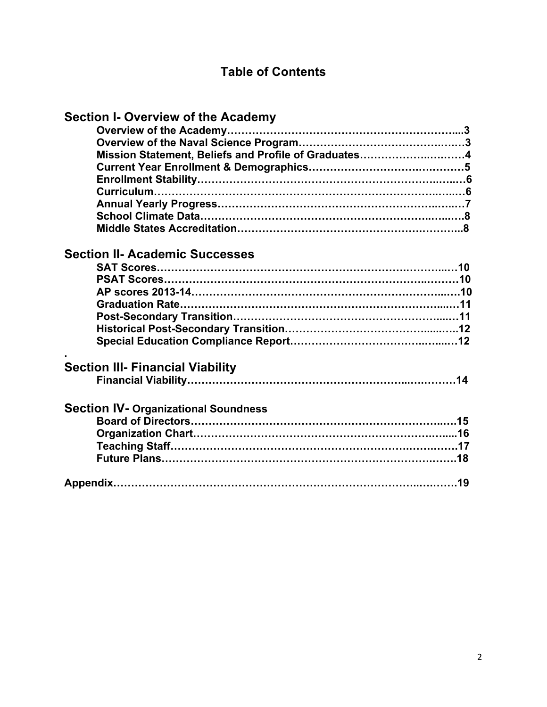# **Table of Contents**

| <b>Section I- Overview of the Academy</b>            |  |
|------------------------------------------------------|--|
|                                                      |  |
|                                                      |  |
| Mission Statement, Beliefs and Profile of Graduates4 |  |
|                                                      |  |
|                                                      |  |
|                                                      |  |
|                                                      |  |
|                                                      |  |
|                                                      |  |
|                                                      |  |
| <b>Section II- Academic Successes</b>                |  |
|                                                      |  |
|                                                      |  |
|                                                      |  |
|                                                      |  |
|                                                      |  |
|                                                      |  |
|                                                      |  |
| <b>Section III- Financial Viability</b>              |  |
|                                                      |  |
| <b>Section IV- Organizational Soundness</b>          |  |
|                                                      |  |
|                                                      |  |
|                                                      |  |
|                                                      |  |
|                                                      |  |
|                                                      |  |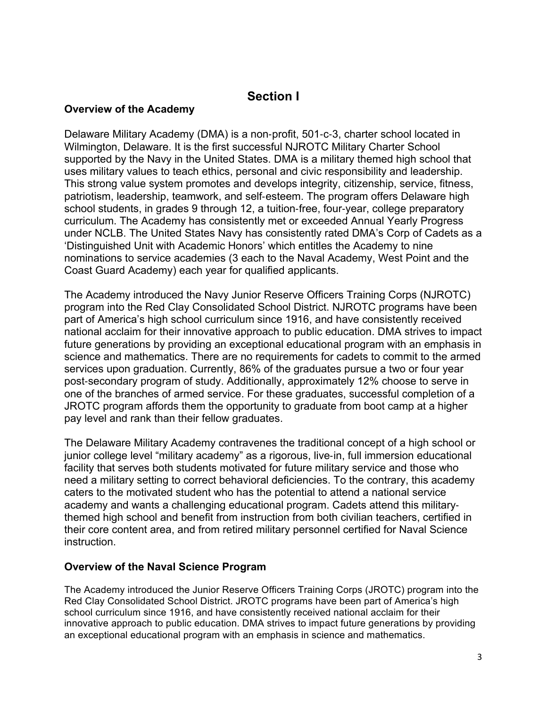# **Section I**

#### **Overview of the Academy**

Delaware Military Academy (DMA) is a non-profit, 501-c-3, charter school located in Wilmington, Delaware. It is the first successful NJROTC Military Charter School supported by the Navy in the United States. DMA is a military themed high school that uses military values to teach ethics, personal and civic responsibility and leadership. This strong value system promotes and develops integrity, citizenship, service, fitness, patriotism, leadership, teamwork, and self-esteem. The program offers Delaware high school students, in grades 9 through 12, a tuition-free, four-year, college preparatory curriculum. The Academy has consistently met or exceeded Annual Yearly Progress under NCLB. The United States Navy has consistently rated DMA's Corp of Cadets as a 'Distinguished Unit with Academic Honors' which entitles the Academy to nine nominations to service academies (3 each to the Naval Academy, West Point and the Coast Guard Academy) each year for qualified applicants.

The Academy introduced the Navy Junior Reserve Officers Training Corps (NJROTC) program into the Red Clay Consolidated School District. NJROTC programs have been part of America's high school curriculum since 1916, and have consistently received national acclaim for their innovative approach to public education. DMA strives to impact future generations by providing an exceptional educational program with an emphasis in science and mathematics. There are no requirements for cadets to commit to the armed services upon graduation. Currently, 86% of the graduates pursue a two or four year post-secondary program of study. Additionally, approximately 12% choose to serve in one of the branches of armed service. For these graduates, successful completion of a JROTC program affords them the opportunity to graduate from boot camp at a higher pay level and rank than their fellow graduates.

The Delaware Military Academy contravenes the traditional concept of a high school or junior college level "military academy" as a rigorous, live-in, full immersion educational facility that serves both students motivated for future military service and those who need a military setting to correct behavioral deficiencies. To the contrary, this academy caters to the motivated student who has the potential to attend a national service academy and wants a challenging educational program. Cadets attend this militarythemed high school and benefit from instruction from both civilian teachers, certified in their core content area, and from retired military personnel certified for Naval Science instruction.

#### **Overview of the Naval Science Program**

The Academy introduced the Junior Reserve Officers Training Corps (JROTC) program into the Red Clay Consolidated School District. JROTC programs have been part of America's high school curriculum since 1916, and have consistently received national acclaim for their innovative approach to public education. DMA strives to impact future generations by providing an exceptional educational program with an emphasis in science and mathematics.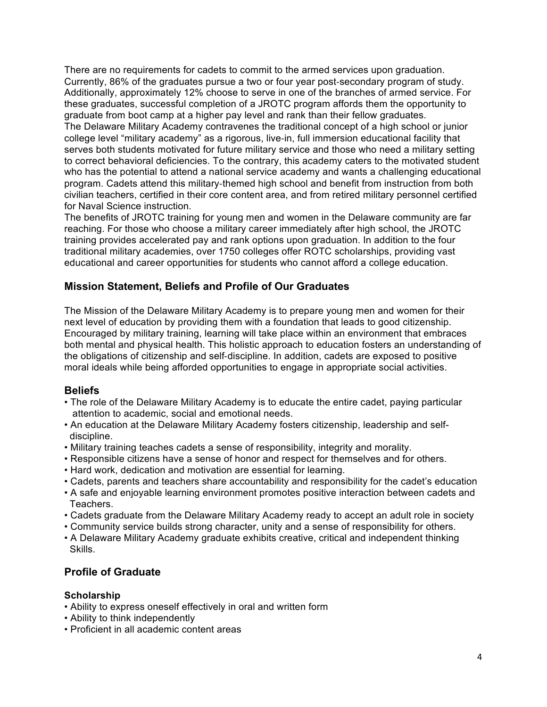There are no requirements for cadets to commit to the armed services upon graduation. Currently, 86% of the graduates pursue a two or four year post-secondary program of study. Additionally, approximately 12% choose to serve in one of the branches of armed service. For these graduates, successful completion of a JROTC program affords them the opportunity to graduate from boot camp at a higher pay level and rank than their fellow graduates. The Delaware Military Academy contravenes the traditional concept of a high school or junior college level "military academy" as a rigorous, live-in, full immersion educational facility that serves both students motivated for future military service and those who need a military setting to correct behavioral deficiencies. To the contrary, this academy caters to the motivated student who has the potential to attend a national service academy and wants a challenging educational program. Cadets attend this military-themed high school and benefit from instruction from both civilian teachers, certified in their core content area, and from retired military personnel certified for Naval Science instruction.

The benefits of JROTC training for young men and women in the Delaware community are far reaching. For those who choose a military career immediately after high school, the JROTC training provides accelerated pay and rank options upon graduation. In addition to the four traditional military academies, over 1750 colleges offer ROTC scholarships, providing vast educational and career opportunities for students who cannot afford a college education.

#### **Mission Statement, Beliefs and Profile of Our Graduates**

The Mission of the Delaware Military Academy is to prepare young men and women for their next level of education by providing them with a foundation that leads to good citizenship. Encouraged by military training, learning will take place within an environment that embraces both mental and physical health. This holistic approach to education fosters an understanding of the obligations of citizenship and self-discipline. In addition, cadets are exposed to positive moral ideals while being afforded opportunities to engage in appropriate social activities.

#### **Beliefs**

- The role of the Delaware Military Academy is to educate the entire cadet, paying particular attention to academic, social and emotional needs.
- An education at the Delaware Military Academy fosters citizenship, leadership and self discipline.
- Military training teaches cadets a sense of responsibility, integrity and morality.
- Responsible citizens have a sense of honor and respect for themselves and for others.
- Hard work, dedication and motivation are essential for learning.
- Cadets, parents and teachers share accountability and responsibility for the cadet's education
- A safe and enjoyable learning environment promotes positive interaction between cadets and Teachers.
- Cadets graduate from the Delaware Military Academy ready to accept an adult role in society
- Community service builds strong character, unity and a sense of responsibility for others.
- A Delaware Military Academy graduate exhibits creative, critical and independent thinking Skills.

#### **Profile of Graduate**

#### **Scholarship**

- Ability to express oneself effectively in oral and written form
- Ability to think independently
- Proficient in all academic content areas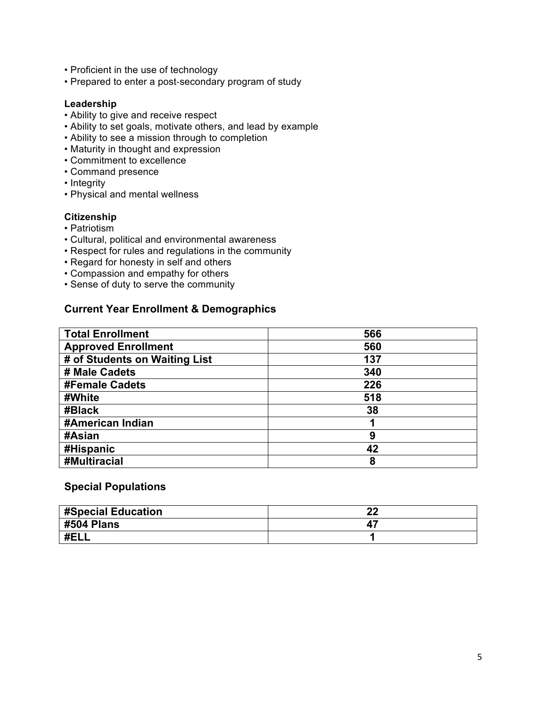- Proficient in the use of technology
- Prepared to enter a post-secondary program of study

#### **Leadership**

- Ability to give and receive respect
- Ability to set goals, motivate others, and lead by example
- Ability to see a mission through to completion
- Maturity in thought and expression
- Commitment to excellence
- Command presence
- Integrity
- Physical and mental wellness

#### **Citizenship**

- Patriotism
- Cultural, political and environmental awareness
- Respect for rules and regulations in the community
- Regard for honesty in self and others
- Compassion and empathy for others
- Sense of duty to serve the community

### **Current Year Enrollment & Demographics**

| <b>Total Enrollment</b>       | 566 |
|-------------------------------|-----|
| <b>Approved Enrollment</b>    | 560 |
| # of Students on Waiting List | 137 |
| # Male Cadets                 | 340 |
| <b>#Female Cadets</b>         | 226 |
| #White                        | 518 |
| #Black                        | 38  |
| #American Indian              |     |
| #Asian                        | 9   |
| #Hispanic                     | 42  |
| #Multiracial                  | 8   |

#### **Special Populations**

| #Special Education | າາ<br>44 |
|--------------------|----------|
| #504 Plans         |          |
| #EI                |          |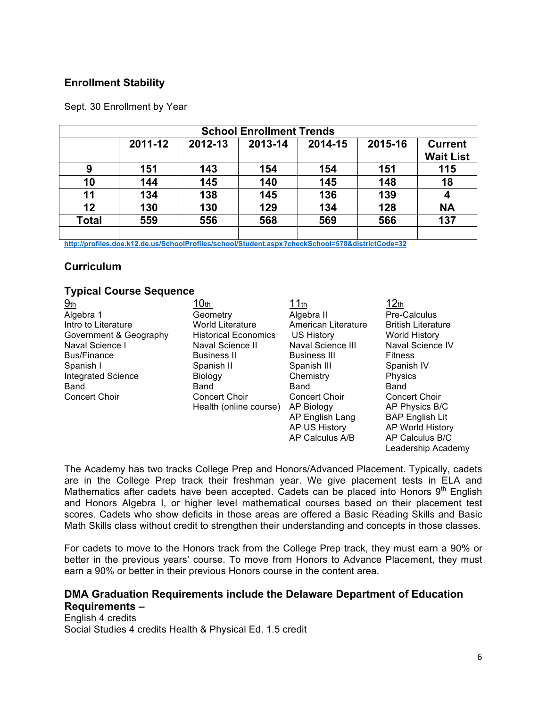### **Enrollment Stability**

Sept. 30 Enrollment by Year

| <b>School Enrollment Trends</b> |         |         |         |         |         |                                    |  |  |
|---------------------------------|---------|---------|---------|---------|---------|------------------------------------|--|--|
|                                 | 2011-12 | 2012-13 | 2013-14 | 2014-15 | 2015-16 | <b>Current</b><br><b>Wait List</b> |  |  |
| 9                               | 151     | 143     | 154     | 154     | 151     | 115                                |  |  |
| 10                              | 144     | 145     | 140     | 145     | 148     | 18                                 |  |  |
| 11                              | 134     | 138     | 145     | 136     | 139     |                                    |  |  |
| 12                              | 130     | 130     | 129     | 134     | 128     | <b>NA</b>                          |  |  |
| <b>Total</b>                    | 559     | 556     | 568     | 569     | 566     | 137                                |  |  |
|                                 |         |         |         |         |         |                                    |  |  |

**http://profiles.doe.k12.de.us/SchoolProfiles/school/Student.aspx?checkSchool=578&districtCode=32**

# **Curriculum**

#### **Typical Course Sequence**

| 9 <sub>th</sub>           | 10 <sub>th</sub>            | 11th                 | 12 <sub>th</sub>          |
|---------------------------|-----------------------------|----------------------|---------------------------|
| Algebra 1                 | Geometry                    | Algebra II           | Pre-Calculus              |
| Intro to Literature       | <b>World Literature</b>     | American Literature  | <b>British Literature</b> |
| Government & Geography    | <b>Historical Economics</b> | US History           | <b>World History</b>      |
| Naval Science I           | Naval Science II            | Naval Science III    | Naval Science IV          |
| <b>Bus/Finance</b>        | <b>Business II</b>          | <b>Business III</b>  | <b>Fitness</b>            |
| Spanish I                 | Spanish II                  | Spanish III          | Spanish IV                |
| <b>Integrated Science</b> | <b>Biology</b>              | Chemistry            | Physics                   |
| Band                      | Band                        | Band                 | Band                      |
| <b>Concert Choir</b>      | <b>Concert Choir</b>        | <b>Concert Choir</b> | <b>Concert Choir</b>      |
|                           | Health (online course)      | AP Biology           | AP Physics B/C            |
|                           |                             | AP English Lang      | <b>BAP English Lit</b>    |
|                           |                             | AP US History        | AP World History          |
|                           |                             | AP Calculus A/B      | AP Calculus B/C           |
|                           |                             |                      | Leadership Academv        |

The Academy has two tracks College Prep and Honors/Advanced Placement. Typically, cadets are in the College Prep track their freshman year. We give placement tests in ELA and Mathematics after cadets have been accepted. Cadets can be placed into Honors  $9<sup>th</sup>$  English and Honors Algebra I, or higher level mathematical courses based on their placement test scores. Cadets who show deficits in those areas are offered a Basic Reading Skills and Basic Math Skills class without credit to strengthen their understanding and concepts in those classes.

For cadets to move to the Honors track from the College Prep track, they must earn a 90% or better in the previous years' course. To move from Honors to Advance Placement, they must earn a 90% or better in their previous Honors course in the content area.

# **DMA Graduation Requirements include the Delaware Department of Education Requirements –**

English 4 credits Social Studies 4 credits Health & Physical Ed. 1.5 credit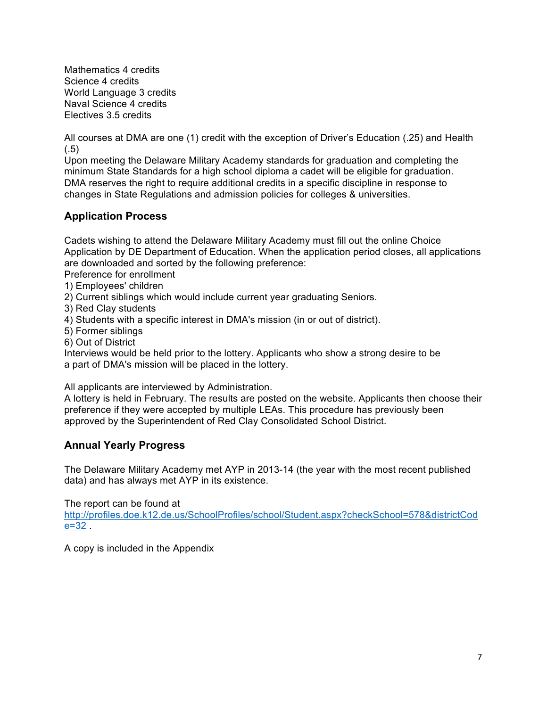Mathematics 4 credits Science 4 credits World Language 3 credits Naval Science 4 credits Electives 3.5 credits

All courses at DMA are one (1) credit with the exception of Driver's Education (.25) and Health  $(.5)$ 

Upon meeting the Delaware Military Academy standards for graduation and completing the minimum State Standards for a high school diploma a cadet will be eligible for graduation. DMA reserves the right to require additional credits in a specific discipline in response to changes in State Regulations and admission policies for colleges & universities.

# **Application Process**

Cadets wishing to attend the Delaware Military Academy must fill out the online Choice Application by DE Department of Education. When the application period closes, all applications are downloaded and sorted by the following preference:

Preference for enrollment

- 1) Employees' children
- 2) Current siblings which would include current year graduating Seniors.
- 3) Red Clay students
- 4) Students with a specific interest in DMA's mission (in or out of district).
- 5) Former siblings
- 6) Out of District

Interviews would be held prior to the lottery. Applicants who show a strong desire to be a part of DMA's mission will be placed in the lottery.

All applicants are interviewed by Administration.

A lottery is held in February. The results are posted on the website. Applicants then choose their preference if they were accepted by multiple LEAs. This procedure has previously been approved by the Superintendent of Red Clay Consolidated School District.

# **Annual Yearly Progress**

The Delaware Military Academy met AYP in 2013-14 (the year with the most recent published data) and has always met AYP in its existence.

The report can be found at

http://profiles.doe.k12.de.us/SchoolProfiles/school/Student.aspx?checkSchool=578&districtCod e=32 .

A copy is included in the Appendix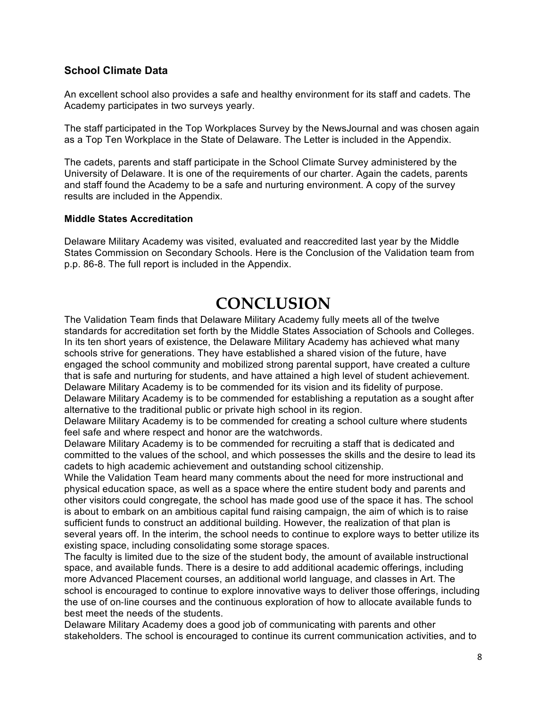## **School Climate Data**

An excellent school also provides a safe and healthy environment for its staff and cadets. The Academy participates in two surveys yearly.

The staff participated in the Top Workplaces Survey by the NewsJournal and was chosen again as a Top Ten Workplace in the State of Delaware. The Letter is included in the Appendix.

The cadets, parents and staff participate in the School Climate Survey administered by the University of Delaware. It is one of the requirements of our charter. Again the cadets, parents and staff found the Academy to be a safe and nurturing environment. A copy of the survey results are included in the Appendix.

#### **Middle States Accreditation**

Delaware Military Academy was visited, evaluated and reaccredited last year by the Middle States Commission on Secondary Schools. Here is the Conclusion of the Validation team from p.p. 86-8. The full report is included in the Appendix.

# **CONCLUSION**

The Validation Team finds that Delaware Military Academy fully meets all of the twelve standards for accreditation set forth by the Middle States Association of Schools and Colleges. In its ten short years of existence, the Delaware Military Academy has achieved what many schools strive for generations. They have established a shared vision of the future, have engaged the school community and mobilized strong parental support, have created a culture that is safe and nurturing for students, and have attained a high level of student achievement. Delaware Military Academy is to be commended for its vision and its fidelity of purpose. Delaware Military Academy is to be commended for establishing a reputation as a sought after alternative to the traditional public or private high school in its region.

Delaware Military Academy is to be commended for creating a school culture where students feel safe and where respect and honor are the watchwords.

Delaware Military Academy is to be commended for recruiting a staff that is dedicated and committed to the values of the school, and which possesses the skills and the desire to lead its cadets to high academic achievement and outstanding school citizenship.

While the Validation Team heard many comments about the need for more instructional and physical education space, as well as a space where the entire student body and parents and other visitors could congregate, the school has made good use of the space it has. The school is about to embark on an ambitious capital fund raising campaign, the aim of which is to raise sufficient funds to construct an additional building. However, the realization of that plan is several years off. In the interim, the school needs to continue to explore ways to better utilize its existing space, including consolidating some storage spaces.

The faculty is limited due to the size of the student body, the amount of available instructional space, and available funds. There is a desire to add additional academic offerings, including more Advanced Placement courses, an additional world language, and classes in Art. The school is encouraged to continue to explore innovative ways to deliver those offerings, including the use of on-line courses and the continuous exploration of how to allocate available funds to best meet the needs of the students.

Delaware Military Academy does a good job of communicating with parents and other stakeholders. The school is encouraged to continue its current communication activities, and to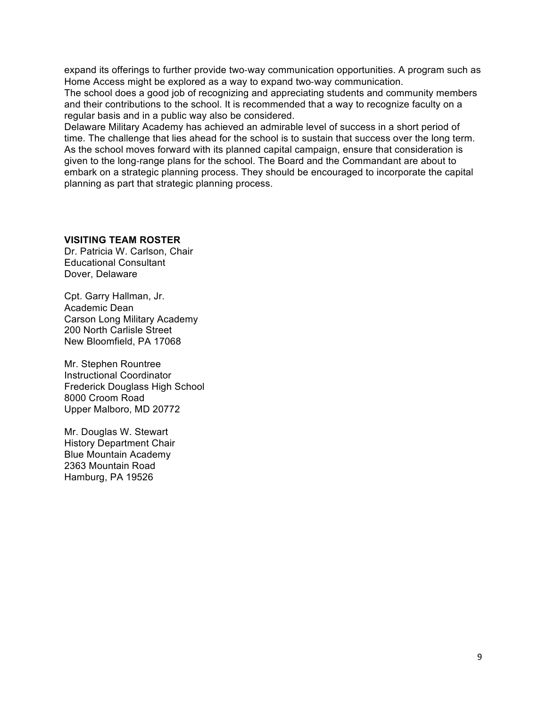expand its offerings to further provide two-way communication opportunities. A program such as Home Access might be explored as a way to expand two-way communication.

The school does a good job of recognizing and appreciating students and community members and their contributions to the school. It is recommended that a way to recognize faculty on a regular basis and in a public way also be considered.

Delaware Military Academy has achieved an admirable level of success in a short period of time. The challenge that lies ahead for the school is to sustain that success over the long term. As the school moves forward with its planned capital campaign, ensure that consideration is given to the long-range plans for the school. The Board and the Commandant are about to embark on a strategic planning process. They should be encouraged to incorporate the capital planning as part that strategic planning process.

#### **VISITING TEAM ROSTER**

Dr. Patricia W. Carlson, Chair Educational Consultant Dover, Delaware

Cpt. Garry Hallman, Jr. Academic Dean Carson Long Military Academy 200 North Carlisle Street New Bloomfield, PA 17068

Mr. Stephen Rountree Instructional Coordinator Frederick Douglass High School 8000 Croom Road Upper Malboro, MD 20772

Mr. Douglas W. Stewart History Department Chair Blue Mountain Academy 2363 Mountain Road Hamburg, PA 19526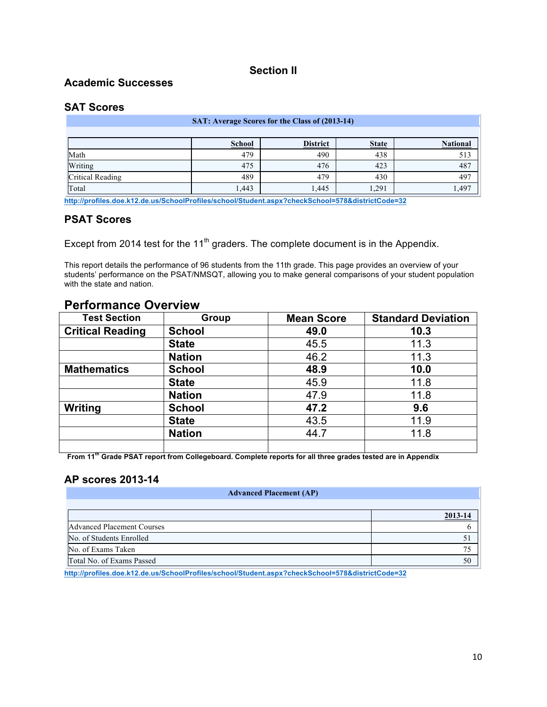#### **Section II**

#### **Academic Successes**

#### **SAT Scores**

| SAT: Average Scores for the Class of (2013-14)                      |       |      |       |      |  |  |  |  |  |
|---------------------------------------------------------------------|-------|------|-------|------|--|--|--|--|--|
|                                                                     |       |      |       |      |  |  |  |  |  |
| <b>National</b><br><b>District</b><br><b>School</b><br><b>State</b> |       |      |       |      |  |  |  |  |  |
| Math                                                                | 479   | 490  | 438   | 513  |  |  |  |  |  |
| Writing                                                             | 475   | 476  | 423   | 487  |  |  |  |  |  |
| Critical Reading                                                    | 489   | 479  | 430   | 497  |  |  |  |  |  |
| Total                                                               | 1,443 | .445 | 1,291 | .497 |  |  |  |  |  |

**http://profiles.doe.k12.de.us/SchoolProfiles/school/Student.aspx?checkSchool=578&districtCode=32**

#### **PSAT Scores**

Except from 2014 test for the  $11<sup>th</sup>$  graders. The complete document is in the Appendix.

This report details the performance of 96 students from the 11th grade. This page provides an overview of your students' performance on the PSAT/NMSQT, allowing you to make general comparisons of your student population with the state and nation.

| <b>Test Section</b>     | Group         | <b>Mean Score</b> | <b>Standard Deviation</b> |
|-------------------------|---------------|-------------------|---------------------------|
| <b>Critical Reading</b> | <b>School</b> | 49.0              | 10.3                      |
|                         | <b>State</b>  | 45.5              | 11.3                      |
|                         | <b>Nation</b> | 46.2              | 11.3                      |
| <b>Mathematics</b>      | <b>School</b> | 48.9              | 10.0                      |
|                         | <b>State</b>  | 45.9              | 11.8                      |
|                         | <b>Nation</b> | 47.9              | 11.8                      |
| Writing                 | <b>School</b> | 47.2              | 9.6                       |
|                         | <b>State</b>  | 43.5              | 11.9                      |
|                         | <b>Nation</b> | 44.7              | 11.8                      |
|                         |               |                   |                           |

#### **Performance Overview**

**From 11th Grade PSAT report from Collegeboard. Complete reports for all three grades tested are in Appendix**

#### **AP scores 2013-14**

| <b>Advanced Placement (AP)</b>    |         |  |  |  |  |  |
|-----------------------------------|---------|--|--|--|--|--|
|                                   |         |  |  |  |  |  |
|                                   | 2013-14 |  |  |  |  |  |
| <b>Advanced Placement Courses</b> |         |  |  |  |  |  |
| No. of Students Enrolled          |         |  |  |  |  |  |
| No. of Exams Taken                | 75      |  |  |  |  |  |
| Total No. of Exams Passed         | 50      |  |  |  |  |  |

**http://profiles.doe.k12.de.us/SchoolProfiles/school/Student.aspx?checkSchool=578&districtCode=32**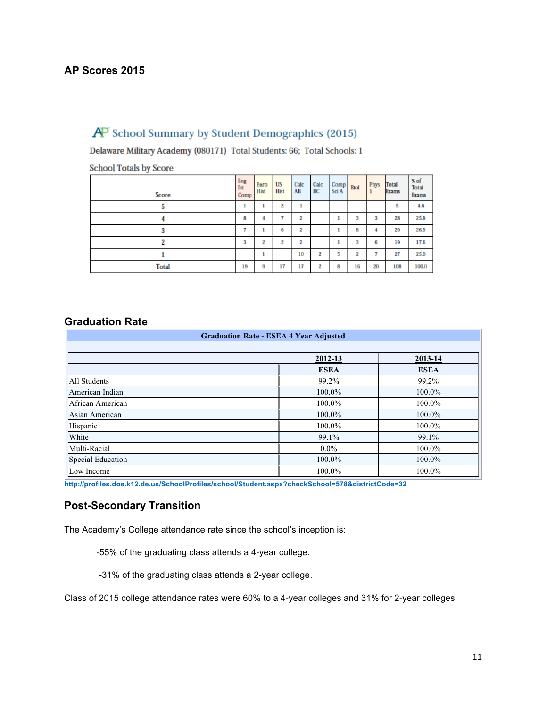# **AP Scores 2015**

# $\overline{AP}$  School Summary by Student Demographics (2015)

Delaware Military Academy (080171) Total Students: 66; Total Schools: 1

| $S$ and $S$ is a sense $\omega$ , seems $\omega$ |                    |              |            |                         |                |               |             |      |                       |                               |
|--------------------------------------------------|--------------------|--------------|------------|-------------------------|----------------|---------------|-------------|------|-----------------------|-------------------------------|
| Score                                            | Eng<br>Lit<br>Comp | Euro<br>Hist | US<br>Hist | Calc<br>AB              | Calc<br>BC     | Comp<br>Sci A | <b>Biol</b> | Phys | Total<br><b>Exams</b> | % of<br><b>Total</b><br>Exams |
| 5                                                | ٠                  |              | 2          |                         |                |               |             |      | 5                     | 4.6                           |
| 4                                                | 8                  | 4            | 7          | 2                       |                |               | 3           | 3    | 28                    | 25.9                          |
| 3                                                | ÷                  |              | 6          | $\overline{\mathbf{z}}$ |                |               | 8           |      | 29                    | 26.9                          |
| 2                                                | 3                  | 2            | 2          | 2                       |                |               | 3           | 6    | 19                    | 17.6                          |
|                                                  |                    | 1            |            | 10                      | $\overline{2}$ | 5             | 2           | 7    | 27                    | 25.0                          |
| Total                                            | 19                 | 9            | 17         | 17                      | $\overline{2}$ | 8             | 16          | 20   | 108                   | 100.0                         |

**School Totals by Score** 

#### **Graduation Rate**

| <b>Graduation Rate - ESEA 4 Year Adjusted</b> |             |             |  |  |  |  |
|-----------------------------------------------|-------------|-------------|--|--|--|--|
|                                               | 2012-13     | 2013-14     |  |  |  |  |
|                                               | <b>ESEA</b> | <b>ESEA</b> |  |  |  |  |
| All Students                                  | 99.2%       | 99.2%       |  |  |  |  |
| American Indian                               | 100.0%      | 100.0%      |  |  |  |  |
| African American                              | 100.0%      | 100.0%      |  |  |  |  |
| Asian American                                | 100.0%      | 100.0%      |  |  |  |  |
| Hispanic                                      | 100.0%      | 100.0%      |  |  |  |  |
| White                                         | 99.1%       | 99.1%       |  |  |  |  |
| Multi-Racial                                  | $0.0\%$     | 100.0%      |  |  |  |  |
| Special Education                             | 100.0%      | 100.0%      |  |  |  |  |
| Low Income                                    | 100.0%      | 100.0%      |  |  |  |  |

**http://profiles.doe.k12.de.us/SchoolProfiles/school/Student.aspx?checkSchool=578&districtCode=32**

# **Post-Secondary Transition**

The Academy's College attendance rate since the school's inception is:

-55% of the graduating class attends a 4-year college.

-31% of the graduating class attends a 2-year college.

Class of 2015 college attendance rates were 60% to a 4-year colleges and 31% for 2-year colleges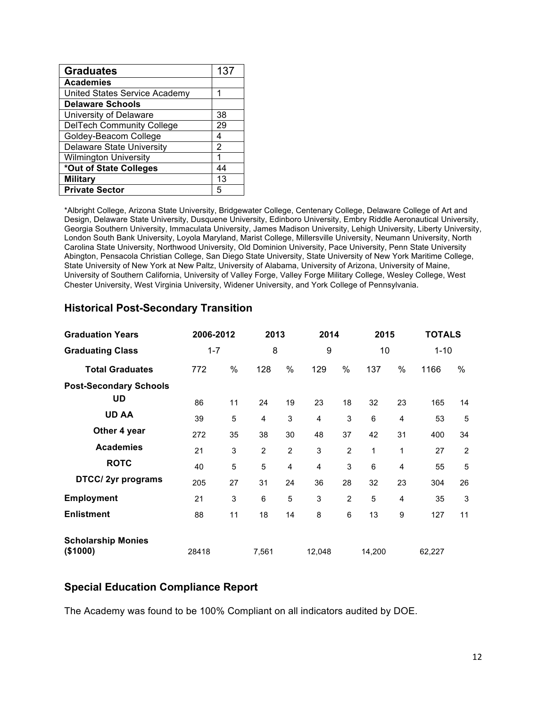| <b>Graduates</b>                 | 137 |
|----------------------------------|-----|
| <b>Academies</b>                 |     |
| United States Service Academy    | 1   |
| <b>Delaware Schools</b>          |     |
| University of Delaware           | 38  |
| <b>DelTech Community College</b> | 29  |
| Goldey-Beacom College            | 4   |
| <b>Delaware State University</b> | 2   |
| <b>Wilmington University</b>     | 1   |
| *Out of State Colleges           | 44  |
| <b>Military</b>                  | 13  |
| <b>Private Sector</b>            | 5   |

\*Albright College, Arizona State University, Bridgewater College, Centenary College, Delaware College of Art and Design, Delaware State University, Dusquene University, Edinboro University, Embry Riddle Aeronautical University, Georgia Southern University, Immaculata University, James Madison University, Lehigh University, Liberty University, London South Bank University, Loyola Maryland, Marist College, Millersville University, Neumann University, North Carolina State University, Northwood University, Old Dominion University, Pace University, Penn State University Abington, Pensacola Christian College, San Diego State University, State University of New York Maritime College, State University of New York at New Paltz, University of Alabama, University of Arizona, University of Maine, University of Southern California, University of Valley Forge, Valley Forge Military College, Wesley College, West Chester University, West Virginia University, Widener University, and York College of Pennsylvania.

| <b>Graduation Years</b>               | 2006-2012 |    | 2013           |                | 2014           |                | 2015   |                | <b>TOTALS</b> |                |
|---------------------------------------|-----------|----|----------------|----------------|----------------|----------------|--------|----------------|---------------|----------------|
| <b>Graduating Class</b>               | $1 - 7$   |    | 8              |                | 9              |                | 10     |                | $1 - 10$      |                |
| <b>Total Graduates</b>                | 772       | %  | 128            | %              | 129            | %              | 137    | $\%$           | 1166          | %              |
| <b>Post-Secondary Schools</b>         |           |    |                |                |                |                |        |                |               |                |
| UD                                    | 86        | 11 | 24             | 19             | 23             | 18             | 32     | 23             | 165           | 14             |
| <b>UD AA</b>                          | 39        | 5  | 4              | 3              | 4              | 3              | 6      | 4              | 53            | 5              |
| Other 4 year                          | 272       | 35 | 38             | 30             | 48             | 37             | 42     | 31             | 400           | 34             |
| <b>Academies</b>                      | 21        | 3  | $\overline{2}$ | $\overline{2}$ | 3              | $\overline{2}$ | 1      | 1              | 27            | $\overline{2}$ |
| <b>ROTC</b>                           | 40        | 5  | 5              | $\overline{4}$ | $\overline{4}$ | 3              | 6      | 4              | 55            | 5              |
| DTCC/2yr programs                     | 205       | 27 | 31             | 24             | 36             | 28             | 32     | 23             | 304           | 26             |
| <b>Employment</b>                     | 21        | 3  | 6              | 5              | 3              | $\overline{2}$ | 5      | $\overline{4}$ | 35            | 3              |
| <b>Enlistment</b>                     | 88        | 11 | 18             | 14             | 8              | 6              | 13     | 9              | 127           | 11             |
| <b>Scholarship Monies</b><br>(\$1000) | 28418     |    | 7,561          |                | 12,048         |                | 14,200 |                | 62,227        |                |

#### **Historical Post-Secondary Transition**

#### **Special Education Compliance Report**

The Academy was found to be 100% Compliant on all indicators audited by DOE.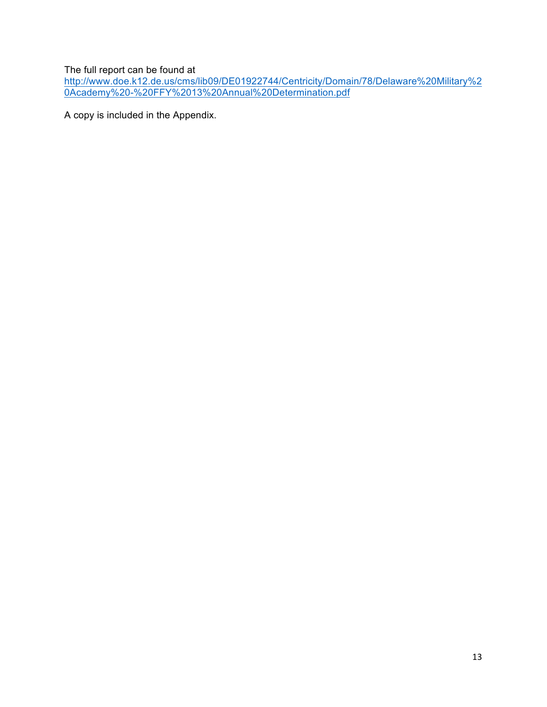The full report can be found at

http://www.doe.k12.de.us/cms/lib09/DE01922744/Centricity/Domain/78/Delaware%20Military%2 0Academy%20-%20FFY%2013%20Annual%20Determination.pdf

A copy is included in the Appendix.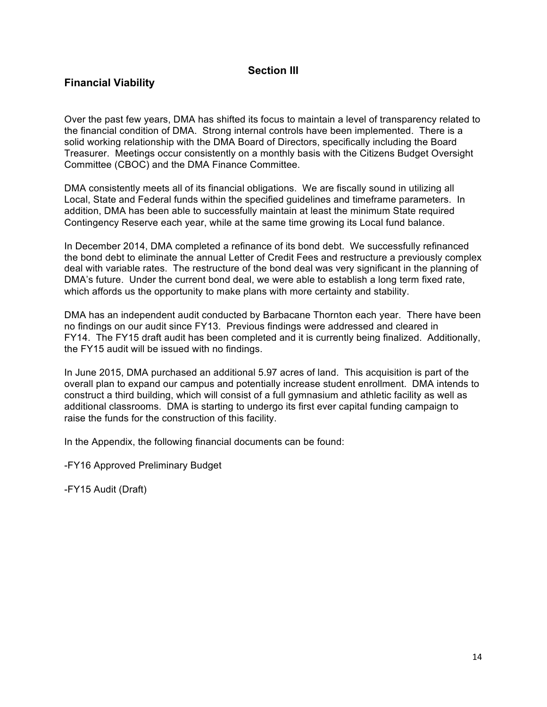### **Section III**

# **Financial Viability**

Over the past few years, DMA has shifted its focus to maintain a level of transparency related to the financial condition of DMA. Strong internal controls have been implemented. There is a solid working relationship with the DMA Board of Directors, specifically including the Board Treasurer. Meetings occur consistently on a monthly basis with the Citizens Budget Oversight Committee (CBOC) and the DMA Finance Committee.

DMA consistently meets all of its financial obligations. We are fiscally sound in utilizing all Local, State and Federal funds within the specified guidelines and timeframe parameters. In addition, DMA has been able to successfully maintain at least the minimum State required Contingency Reserve each year, while at the same time growing its Local fund balance.

In December 2014, DMA completed a refinance of its bond debt. We successfully refinanced the bond debt to eliminate the annual Letter of Credit Fees and restructure a previously complex deal with variable rates. The restructure of the bond deal was very significant in the planning of DMA's future. Under the current bond deal, we were able to establish a long term fixed rate, which affords us the opportunity to make plans with more certainty and stability.

DMA has an independent audit conducted by Barbacane Thornton each year. There have been no findings on our audit since FY13. Previous findings were addressed and cleared in FY14. The FY15 draft audit has been completed and it is currently being finalized. Additionally, the FY15 audit will be issued with no findings.

In June 2015, DMA purchased an additional 5.97 acres of land. This acquisition is part of the overall plan to expand our campus and potentially increase student enrollment. DMA intends to construct a third building, which will consist of a full gymnasium and athletic facility as well as additional classrooms. DMA is starting to undergo its first ever capital funding campaign to raise the funds for the construction of this facility.

In the Appendix, the following financial documents can be found:

-FY16 Approved Preliminary Budget

-FY15 Audit (Draft)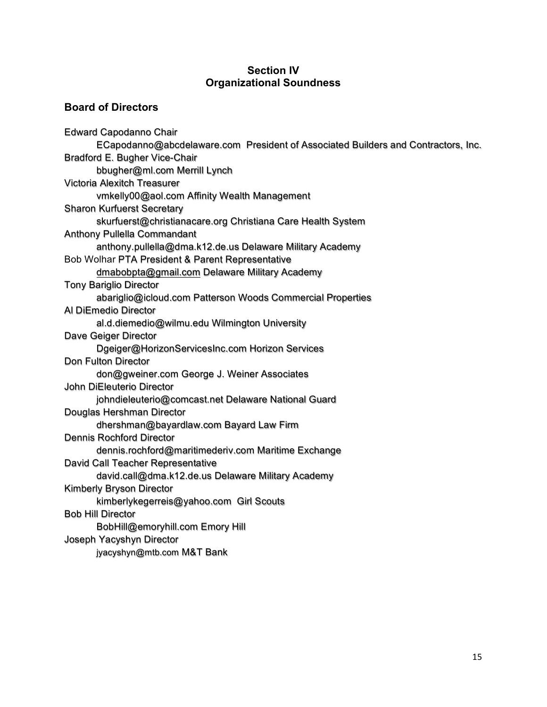#### **Section IV Organizational Soundness**

# **Board of Directors**

Edward Capodanno Chair ECapodanno@abcdelaware.com President of Associated Builders and Contractors, Inc. Bradford E. Bugher Vice-Chair bbugher@ml.com Merrill Lynch Victoria Alexitch Treasurer vmkelly00@aol.com Affinity Wealth Management Sharon Kurfuerst Secretary skurfuerst@christianacare.org Christiana Care Health System Anthony Pullella Commandant anthony.pullella@dma.k12.de.us Delaware Military Academy Bob Wolhar PTA President & Parent Representative dmabobpta@gmail.com Delaware Military Academy Tony Bariglio Director abariglio@icloud.com Patterson Woods Commercial Properties Al DiEmedio Director al.d.diemedio@wilmu.edu Wilmington University Dave Geiger Director Dgeiger@HorizonServicesInc.com Horizon Services Don Fulton Director don@gweiner.com George J. Weiner Associates John DiEleuterio Director johndieleuterio@comcast.net Delaware National Guard Douglas Hershman Director dhershman@bayardlaw.com Bayard Law Firm Dennis Rochford Director dennis.rochford@maritimederiv.com Maritime Exchange David Call Teacher Representative david.call@dma.k12.de.us Delaware Military Academy Kimberly Bryson Director kimberlykegerreis@yahoo.com Girl Scouts Bob Hill Director BobHill@emoryhill.com Emory Hill Joseph Yacyshyn Director jyacyshyn@mtb.com M&T Bank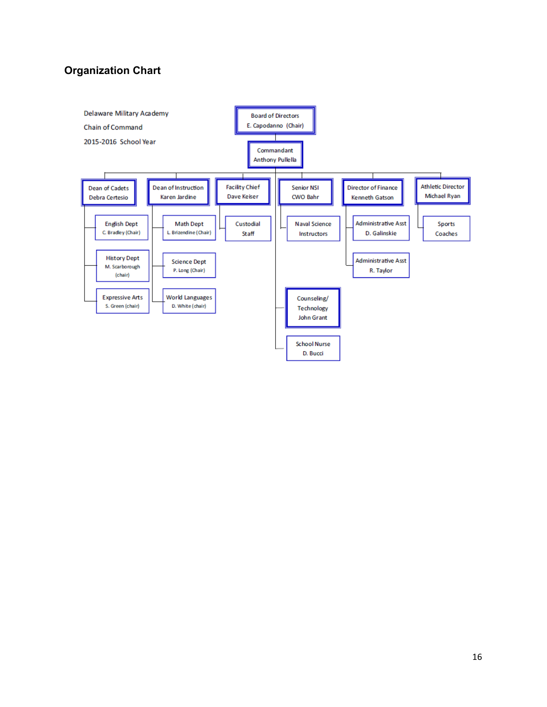# **Organization Chart**

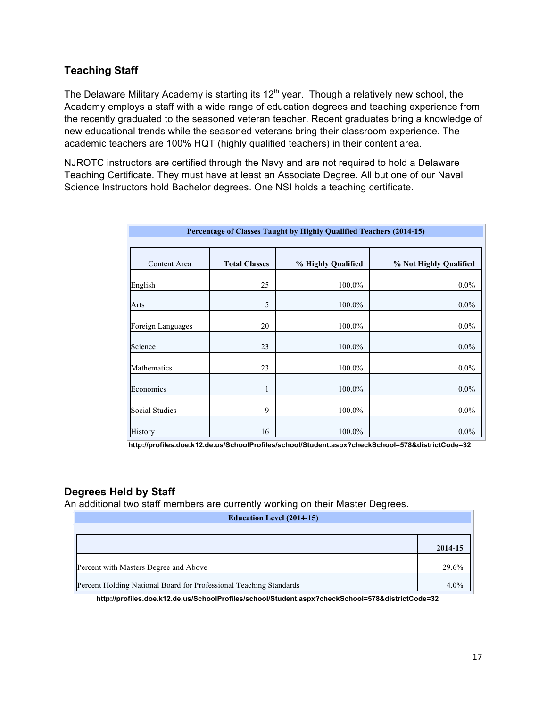## **Teaching Staff**

The Delaware Military Academy is starting its  $12<sup>th</sup>$  year. Though a relatively new school, the Academy employs a staff with a wide range of education degrees and teaching experience from the recently graduated to the seasoned veteran teacher. Recent graduates bring a knowledge of new educational trends while the seasoned veterans bring their classroom experience. The academic teachers are 100% HQT (highly qualified teachers) in their content area.

NJROTC instructors are certified through the Navy and are not required to hold a Delaware Teaching Certificate. They must have at least an Associate Degree. All but one of our Naval Science Instructors hold Bachelor degrees. One NSI holds a teaching certificate.

| Percentage of Classes Taught by Highly Qualified Teachers (2014-15) |                      |                    |                        |
|---------------------------------------------------------------------|----------------------|--------------------|------------------------|
| Content Area                                                        | <b>Total Classes</b> | % Highly Qualified | % Not Highly Qualified |
| English                                                             | 25                   | 100.0%             | $0.0\%$                |
| Arts                                                                | 5                    | 100.0%             | $0.0\%$                |
| Foreign Languages                                                   | 20                   | 100.0%             | $0.0\%$                |
| Science                                                             | 23                   | 100.0%             | $0.0\%$                |
| Mathematics                                                         | 23                   | 100.0%             | $0.0\%$                |
| Economics                                                           | $\mathbf{1}$         | 100.0%             | $0.0\%$                |
| <b>Social Studies</b>                                               | 9                    | 100.0%             | $0.0\%$                |
| <b>History</b>                                                      | 16                   | 100.0%             | $0.0\%$                |

**http://profiles.doe.k12.de.us/SchoolProfiles/school/Student.aspx?checkSchool=578&districtCode=32**

# **Degrees Held by Staff**

An additional two staff members are currently working on their Master Degrees.

| <b>Education Level (2014-15)</b>                                   |         |  |
|--------------------------------------------------------------------|---------|--|
|                                                                    |         |  |
|                                                                    | 2014-15 |  |
| Percent with Masters Degree and Above                              | 29.6%   |  |
| Percent Holding National Board for Professional Teaching Standards |         |  |

**http://profiles.doe.k12.de.us/SchoolProfiles/school/Student.aspx?checkSchool=578&districtCode=32**